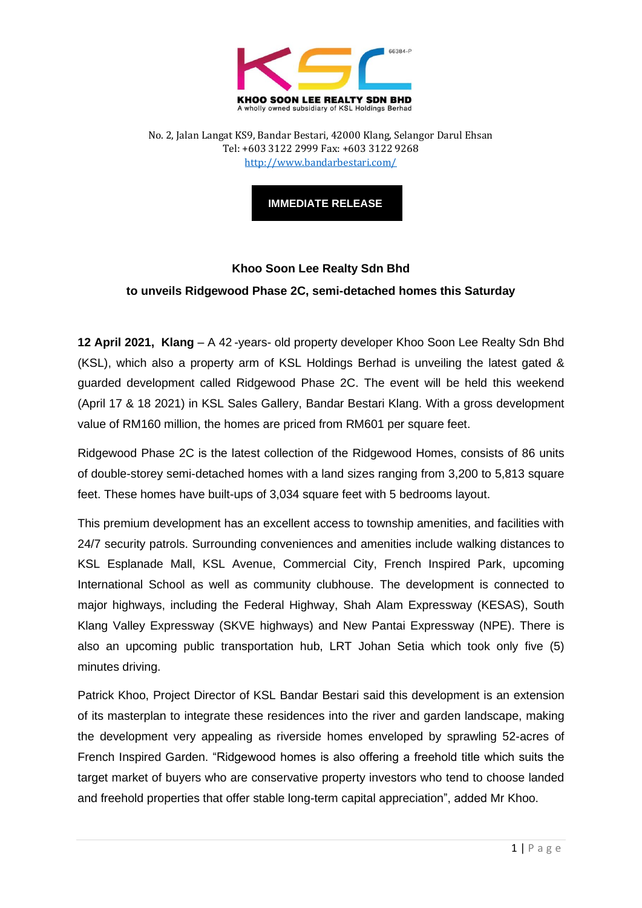

No. 2, Jalan Langat KS9, Bandar Bestari, 42000 Klang, Selangor Darul Ehsan Tel: +603 3122 2999 Fax: +603 3122 9268 <http://www.bandarbestari.com/>

**IMMEDIATE RELEASE**

## **Khoo Soon Lee Realty Sdn Bhd to unveils Ridgewood Phase 2C, semi-detached homes this Saturday**

**12 April 2021, Klang** – A 42 -years- old property developer Khoo Soon Lee Realty Sdn Bhd (KSL), which also a property arm of KSL Holdings Berhad is unveiling the latest gated & guarded development called Ridgewood Phase 2C. The event will be held this weekend (April 17 & 18 2021) in KSL Sales Gallery, Bandar Bestari Klang. With a gross development value of RM160 million, the homes are priced from RM601 per square feet.

Ridgewood Phase 2C is the latest collection of the Ridgewood Homes, consists of 86 units of double-storey semi-detached homes with a land sizes ranging from 3,200 to 5,813 square feet. These homes have built-ups of 3,034 square feet with 5 bedrooms layout.

This premium development has an excellent access to township amenities, and facilities with 24/7 security patrols. Surrounding conveniences and amenities include walking distances to KSL Esplanade Mall, KSL Avenue, Commercial City, French Inspired Park, upcoming International School as well as community clubhouse. The development is connected to major highways, including the Federal Highway, Shah Alam Expressway (KESAS), South Klang Valley Expressway (SKVE highways) and New Pantai Expressway (NPE). There is also an upcoming public transportation hub, LRT Johan Setia which took only five (5) minutes driving.

Patrick Khoo, Project Director of KSL Bandar Bestari said this development is an extension of its masterplan to integrate these residences into the river and garden landscape, making the development very appealing as riverside homes enveloped by sprawling 52-acres of French Inspired Garden. "Ridgewood homes is also offering a freehold title which suits the target market of buyers who are conservative property investors who tend to choose landed and freehold properties that offer stable long-term capital appreciation", added Mr Khoo.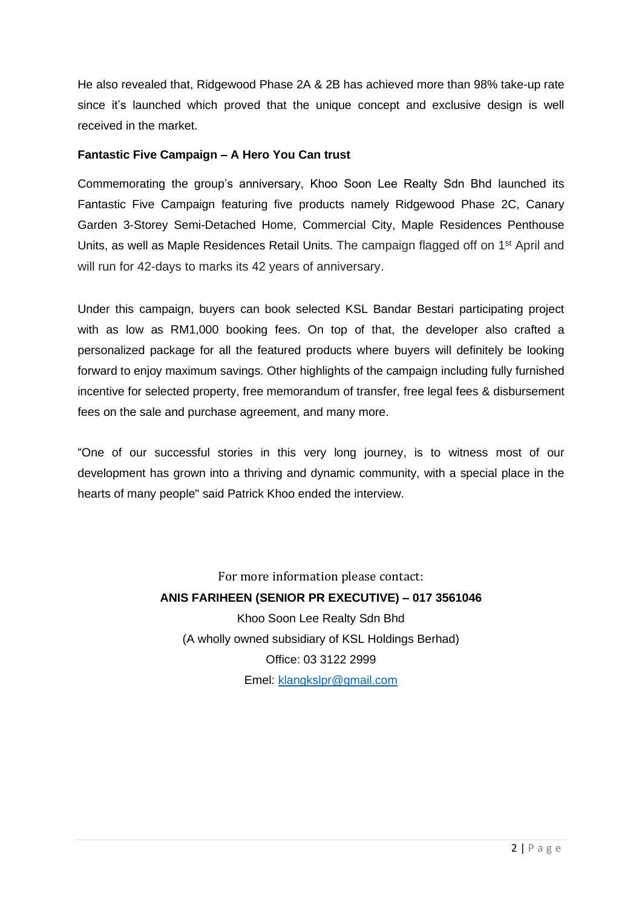He also revealed that, Ridgewood Phase 2A & 2B has achieved more than 98% take-up rate since it's launched which proved that the unique concept and exclusive design is well received in the market.

## **Fantastic Five Campaign – A Hero You Can trust**

Commemorating the group's anniversary, Khoo Soon Lee Realty Sdn Bhd launched its Fantastic Five Campaign featuring five products namely Ridgewood Phase 2C, Canary Garden 3-Storey Semi-Detached Home, Commercial City, Maple Residences Penthouse Units, as well as Maple Residences Retail Units. The campaign flagged off on 1st April and will run for 42-days to marks its 42 years of anniversary.

Under this campaign, buyers can book selected KSL Bandar Bestari participating project with as low as RM1,000 booking fees. On top of that, the developer also crafted a personalized package for all the featured products where buyers will definitely be looking forward to enjoy maximum savings. Other highlights of the campaign including fully furnished incentive for selected property, free memorandum of transfer, free legal fees & disbursement fees on the sale and purchase agreement, and many more.

"One of our successful stories in this very long journey, is to witness most of our development has grown into a thriving and dynamic community, with a special place in the hearts of many people" said Patrick Khoo ended the interview.

> For more information please contact: **ANIS FARIHEEN (SENIOR PR EXECUTIVE) – 017 3561046** Khoo Soon Lee Realty Sdn Bhd (A wholly owned subsidiary of KSL Holdings Berhad) Office: 03 3122 2999 Emel: [klangkslpr@gmail.com](mailto:klangkslpr@gmail.com)